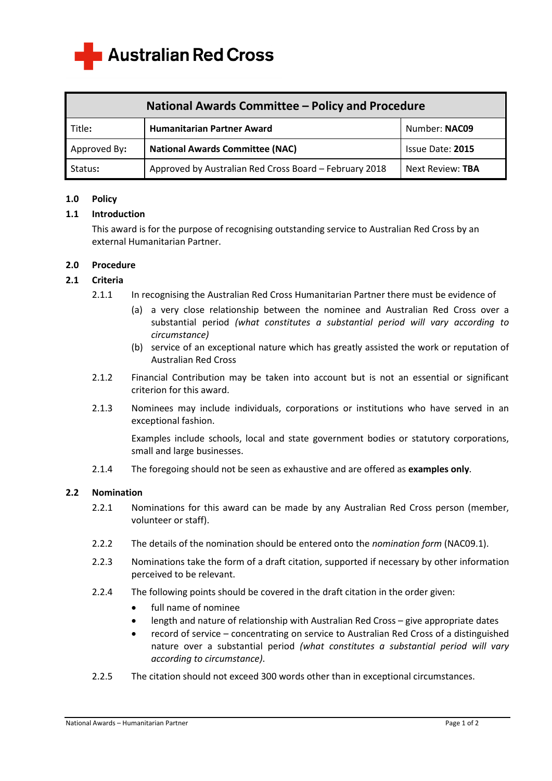**Australian Red Cross** 

| National Awards Committee – Policy and Procedure |                                                        |                  |
|--------------------------------------------------|--------------------------------------------------------|------------------|
| Title:                                           | <b>Humanitarian Partner Award</b>                      | Number: NAC09    |
| Approved By:                                     | <b>National Awards Committee (NAC)</b>                 | Issue Date: 2015 |
| Status:                                          | Approved by Australian Red Cross Board - February 2018 | Next Review: TBA |

# **1.0 Policy**

# **1.1 Introduction**

This award is for the purpose of recognising outstanding service to Australian Red Cross by an external Humanitarian Partner.

# **2.0 Procedure**

# **2.1 Criteria**

- 2.1.1 In recognising the Australian Red Cross Humanitarian Partner there must be evidence of
	- (a) a very close relationship between the nominee and Australian Red Cross over a substantial period *(what constitutes a substantial period will vary according to circumstance)*
	- (b) service of an exceptional nature which has greatly assisted the work or reputation of Australian Red Cross
- 2.1.2 Financial Contribution may be taken into account but is not an essential or significant criterion for this award.
- 2.1.3 Nominees may include individuals, corporations or institutions who have served in an exceptional fashion.

Examples include schools, local and state government bodies or statutory corporations, small and large businesses.

2.1.4 The foregoing should not be seen as exhaustive and are offered as **examples only**.

# **2.2 Nomination**

- 2.2.1 Nominations for this award can be made by any Australian Red Cross person (member, volunteer or staff).
- 2.2.2 The details of the nomination should be entered onto the *nomination form* (NAC09.1).
- 2.2.3 Nominations take the form of a draft citation, supported if necessary by other information perceived to be relevant.
- 2.2.4 The following points should be covered in the draft citation in the order given:
	- full name of nominee
	- length and nature of relationship with Australian Red Cross give appropriate dates
	- record of service concentrating on service to Australian Red Cross of a distinguished nature over a substantial period *(what constitutes a substantial period will vary according to circumstance)*.
- 2.2.5 The citation should not exceed 300 words other than in exceptional circumstances.